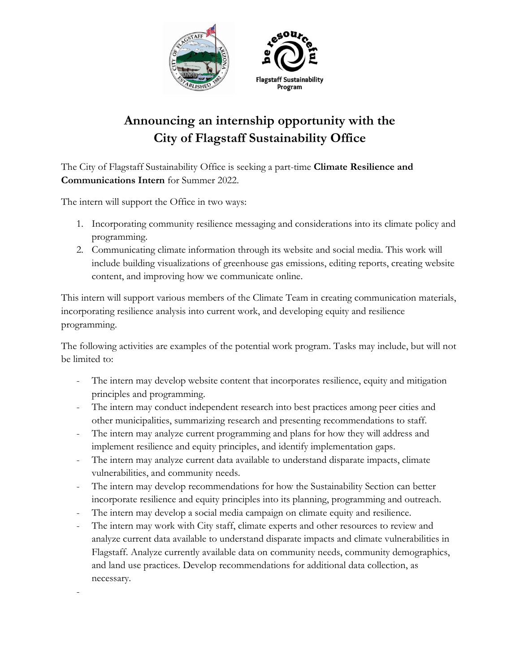

## **Announcing an internship opportunity with the City of Flagstaff Sustainability Office**

The City of Flagstaff Sustainability Office is seeking a part-time **Climate Resilience and Communications Intern** for Summer 2022.

The intern will support the Office in two ways:

- 1. Incorporating community resilience messaging and considerations into its climate policy and programming.
- 2. Communicating climate information through its website and social media. This work will include building visualizations of greenhouse gas emissions, editing reports, creating website content, and improving how we communicate online.

This intern will support various members of the Climate Team in creating communication materials, incorporating resilience analysis into current work, and developing equity and resilience programming.

The following activities are examples of the potential work program. Tasks may include, but will not be limited to:

- The intern may develop website content that incorporates resilience, equity and mitigation principles and programming.
- The intern may conduct independent research into best practices among peer cities and other municipalities, summarizing research and presenting recommendations to staff.
- The intern may analyze current programming and plans for how they will address and implement resilience and equity principles, and identify implementation gaps.
- The intern may analyze current data available to understand disparate impacts, climate vulnerabilities, and community needs.
- The intern may develop recommendations for how the Sustainability Section can better incorporate resilience and equity principles into its planning, programming and outreach.
- The intern may develop a social media campaign on climate equity and resilience.
- The intern may work with City staff, climate experts and other resources to review and analyze current data available to understand disparate impacts and climate vulnerabilities in Flagstaff. Analyze currently available data on community needs, community demographics, and land use practices. Develop recommendations for additional data collection, as necessary.

-